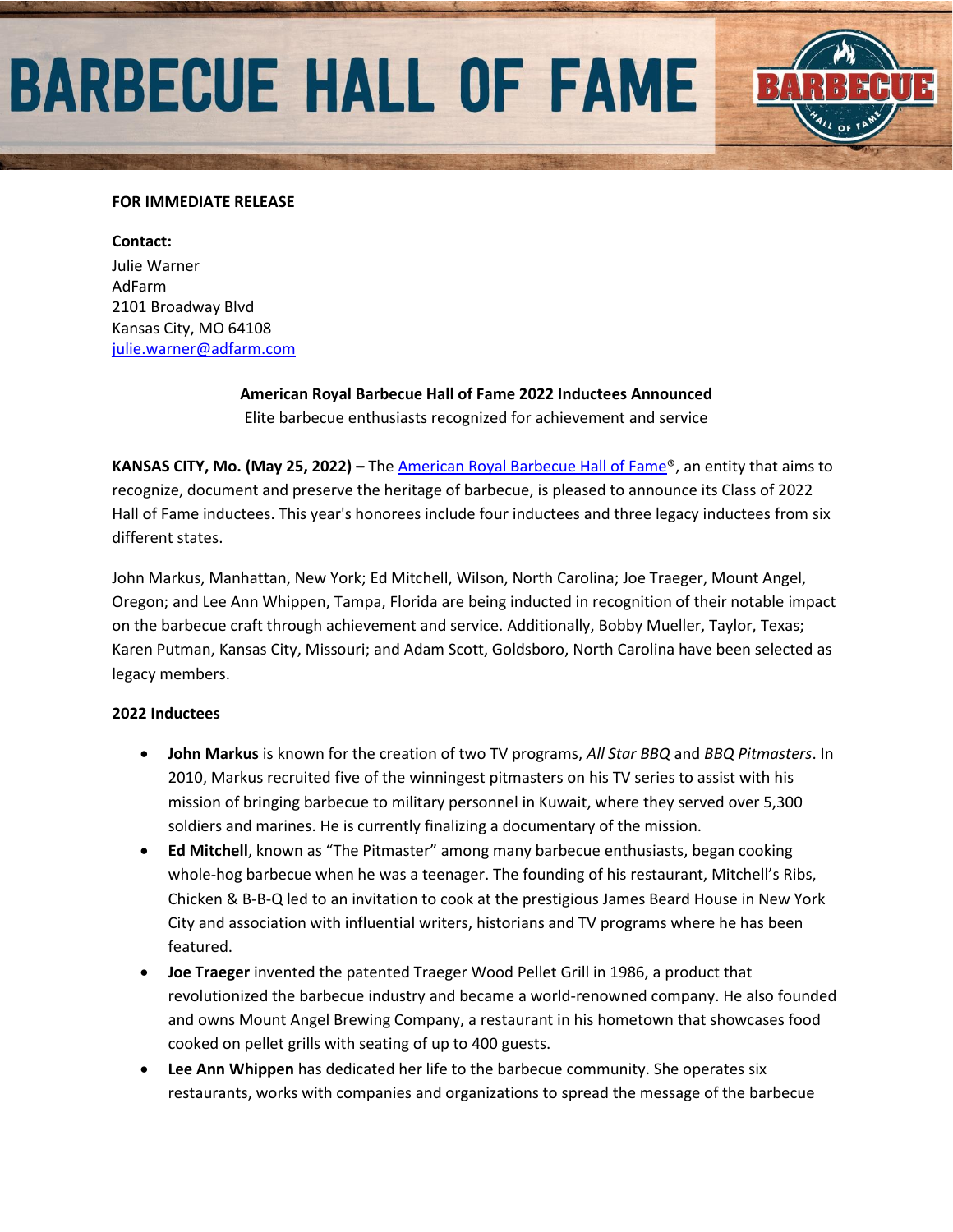# **BARBECUE HALL OF FAME**



### **Contact:**

Julie Warner AdFarm 2101 Broadway Blvd Kansas City, MO 64108 [julie.warner@adfarm.com](mailto:julie.warner@adfarm.com)

> **American Royal Barbecue Hall of Fame 2022 Inductees Announced** Elite barbecue enthusiasts recognized for achievement and service

**KANSAS CITY, Mo. (May 25, 2022) –** Th[e American Royal Barbecue Hall of Fame®](https://www.americanroyal.com/bbq/barbecue-hall-of-fame/), an entity that aims to recognize, document and preserve the heritage of barbecue, is pleased to announce its Class of 2022 Hall of Fame inductees. This year's honorees include four inductees and three legacy inductees from six different states.

John Markus, Manhattan, New York; Ed Mitchell, Wilson, North Carolina; Joe Traeger, Mount Angel, Oregon; and Lee Ann Whippen, Tampa, Florida are being inducted in recognition of their notable impact on the barbecue craft through achievement and service. Additionally, Bobby Mueller, Taylor, Texas; Karen Putman, Kansas City, Missouri; and Adam Scott, Goldsboro, North Carolina have been selected as legacy members.

### **2022 Inductees**

- **John Markus** is known for the creation of two TV programs, *All Star BBQ* and *BBQ Pitmasters*. In 2010, Markus recruited five of the winningest pitmasters on his TV series to assist with his mission of bringing barbecue to military personnel in Kuwait, where they served over 5,300 soldiers and marines. He is currently finalizing a documentary of the mission.
- **Ed Mitchell**, known as "The Pitmaster" among many barbecue enthusiasts, began cooking whole-hog barbecue when he was a teenager. The founding of his restaurant, Mitchell's Ribs, Chicken & B-B-Q led to an invitation to cook at the prestigious James Beard House in New York City and association with influential writers, historians and TV programs where he has been featured.
- **Joe Traeger** invented the patented Traeger Wood Pellet Grill in 1986, a product that revolutionized the barbecue industry and became a world-renowned company. He also founded and owns Mount Angel Brewing Company, a restaurant in his hometown that showcases food cooked on pellet grills with seating of up to 400 guests.
- **Lee Ann Whippen** has dedicated her life to the barbecue community. She operates six restaurants, works with companies and organizations to spread the message of the barbecue